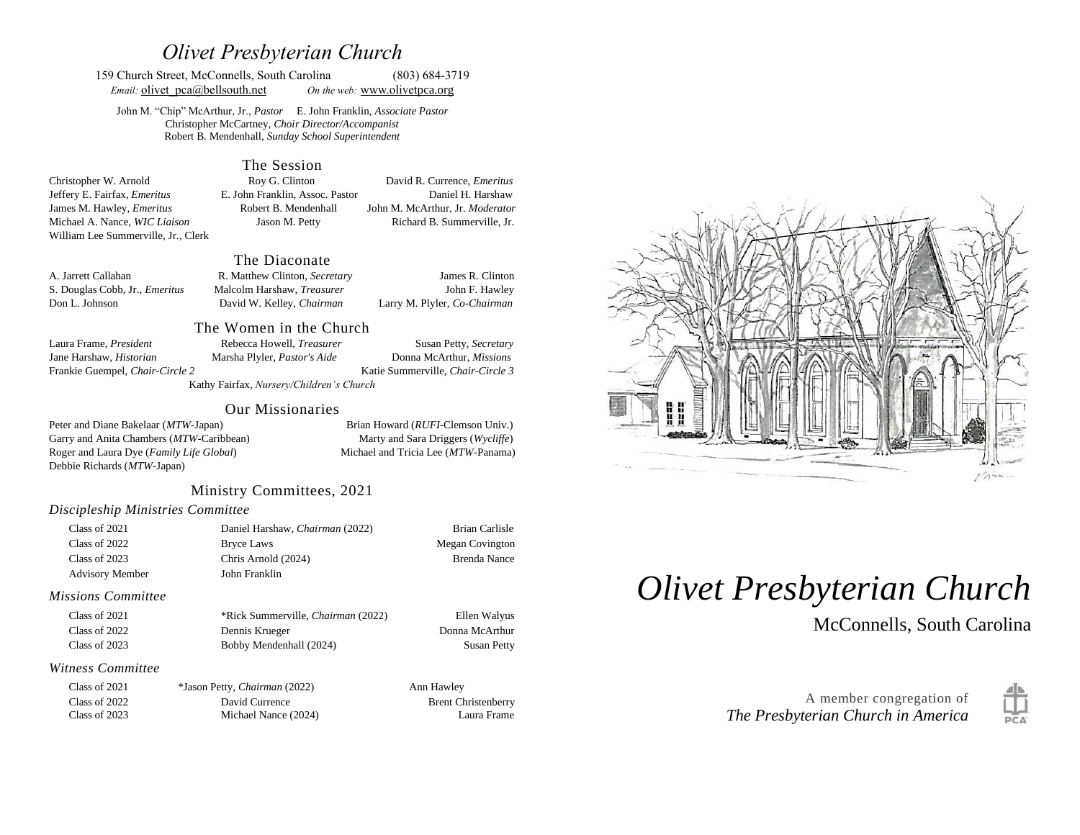## *Olivet Presbyterian Church*

159 Church Street, McConnells, South Carolina (803) 684-3719 *Email:* **olivet**  $pca@bellsouth.net$  *On the web:* [www.olivetp](http://www.olivet/)ca.org

John M. "Chip" McArthur, Jr., *Pastor* E. John Franklin, *Associate Pastor* Christopher McCartney, *Choir Director/Accompanist* Robert B. Mendenhall, *Sunday School Superintendent*

#### The Session

Christopher W. Arnold Roy G. Clinton David R. Currence, *Emeritus* Jeffery E. Fairfax, *Emeritus* E. John Franklin, Assoc. Pastor Daniel H. Harshaw James M. Hawley, *Emeritus* Robert B. Mendenhall John M. McArthur, Jr. *Moderator* Michael A. Nance, *WIC Liaison* Jason M. Petty Richard B. Summerville, Jr. William Lee Summerville, Jr., Clerk

#### The Diaconate

A. Jarrett Callahan R. Matthew Clinton, *Secretary* James R. Clinton S. Douglas Cobb, Jr., *Emeritus* Malcolm Harshaw, *Treasurer* John F. Hawley Don L. Johnson David W. Kelley, *Chairman* Larry M. Plyler, *Co-Chairman* 

## Jane Harshaw, *Historian* Marsha Plyler, *Pastor's Aide* Donna McArthur, *Missions*

Frankie Guempel, *Chair-Circle 2* Katie Summerville, *Chair-Circle 3*

The Women in the Church Laura Frame, *President* Rebecca Howell, *Treasurer* Susan Petty, *Secretary* 

Kathy Fairfax, *Nursery/Children's Church*

#### Our Missionaries

Peter and Diane Bakelaar (*MTW*-Japan) Brian Howard (*RUFI*-Clemson Univ.) Garry and Anita Chambers (*MTW*-Caribbean) Marty and Sara Driggers (*Wycliffe*) Roger and Laura Dye (*Family Life Global*) Michael and Tricia Lee (*MTW*-Panama) Debbie Richards (*MTW*-Japan)

### Ministry Committees, 2021

#### *Discipleship Ministries Committee*

| Class of 2021          | Daniel Harshaw, Chairman (2022) | Brian Carlisle  |
|------------------------|---------------------------------|-----------------|
| Class of 2022          | Bryce Laws                      | Megan Covington |
| Class of 2023          | Chris Arnold (2024)             | Brenda Nance    |
| <b>Advisory Member</b> | John Franklin                   |                 |

#### *Missions Committee*

| Class of 2021 | *Rick Summerville. <i>Chairman</i> (2022) | Ellen Walyus       |
|---------------|-------------------------------------------|--------------------|
| Class of 2022 | Dennis Krueger                            | Donna McArthur     |
| Class of 2023 | Bobby Mendenhall (2024)                   | <b>Susan Petty</b> |

#### *Witness Committee*

| Class of 2021 | *Jason Petty, Chairman (2022) | Ann Hawley                 |
|---------------|-------------------------------|----------------------------|
| Class of 2022 | David Currence                | <b>Brent Christenberry</b> |
| Class of 2023 | Michael Nance (2024)          | Laura Frame                |



# *Olivet Presbyterian Church*

McConnells, South Carolina



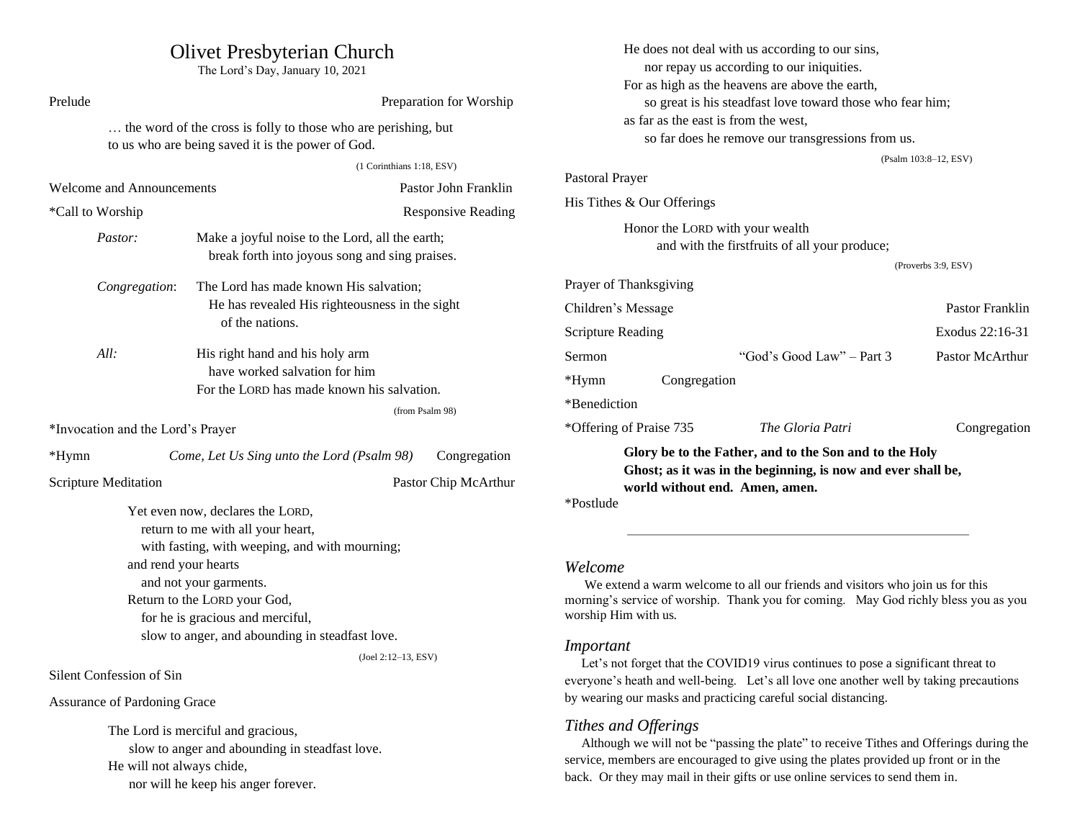| <b>Olivet Presbyterian Church</b><br>The Lord's Day, January 10, 2021                                                                                                  |                                                                                                                         |                                                                                                                                                                                              |                                                                                                | He does not deal with us according to our sins,<br>nor repay us according to our iniquities.<br>For as high as the heavens are above the earth, |                                                           |                                                                                        |
|------------------------------------------------------------------------------------------------------------------------------------------------------------------------|-------------------------------------------------------------------------------------------------------------------------|----------------------------------------------------------------------------------------------------------------------------------------------------------------------------------------------|------------------------------------------------------------------------------------------------|-------------------------------------------------------------------------------------------------------------------------------------------------|-----------------------------------------------------------|----------------------------------------------------------------------------------------|
| Prelude                                                                                                                                                                |                                                                                                                         | Preparation for Worship                                                                                                                                                                      |                                                                                                |                                                                                                                                                 | so great is his steadfast love toward those who fear him; |                                                                                        |
| the word of the cross is folly to those who are perishing, but<br>to us who are being saved it is the power of God.                                                    |                                                                                                                         | as far as the east is from the west,<br>so far does he remove our transgressions from us.                                                                                                    |                                                                                                |                                                                                                                                                 |                                                           |                                                                                        |
|                                                                                                                                                                        | (1 Corinthians 1:18, ESV)                                                                                               |                                                                                                                                                                                              |                                                                                                |                                                                                                                                                 |                                                           | (Psalm 103:8-12, ESV)                                                                  |
| <b>Welcome and Announcements</b>                                                                                                                                       |                                                                                                                         | Pastor John Franklin                                                                                                                                                                         | Pastoral Prayer                                                                                |                                                                                                                                                 |                                                           |                                                                                        |
| *Call to Worship                                                                                                                                                       |                                                                                                                         | <b>Responsive Reading</b>                                                                                                                                                                    |                                                                                                | His Tithes & Our Offerings                                                                                                                      |                                                           |                                                                                        |
| Pastor:                                                                                                                                                                | Make a joyful noise to the Lord, all the earth;<br>break forth into joyous song and sing praises.                       |                                                                                                                                                                                              | Honor the LORD with your wealth<br>and with the firstfruits of all your produce;               |                                                                                                                                                 |                                                           |                                                                                        |
|                                                                                                                                                                        |                                                                                                                         |                                                                                                                                                                                              |                                                                                                |                                                                                                                                                 |                                                           | (Proverbs 3:9, ESV)                                                                    |
| Congregation:                                                                                                                                                          | The Lord has made known His salvation;                                                                                  |                                                                                                                                                                                              |                                                                                                | Prayer of Thanksgiving                                                                                                                          |                                                           |                                                                                        |
|                                                                                                                                                                        | He has revealed His righteousness in the sight<br>of the nations.                                                       |                                                                                                                                                                                              |                                                                                                | Children's Message                                                                                                                              |                                                           | Pastor Franklin                                                                        |
|                                                                                                                                                                        |                                                                                                                         |                                                                                                                                                                                              | <b>Scripture Reading</b>                                                                       |                                                                                                                                                 |                                                           | Exodus 22:16-31                                                                        |
| All:                                                                                                                                                                   | His right hand and his holy arm                                                                                         |                                                                                                                                                                                              | <b>Sermon</b>                                                                                  |                                                                                                                                                 | "God's Good Law" – Part 3                                 | Pastor McArthur                                                                        |
| have worked salvation for him<br>For the LORD has made known his salvation.<br>(from Psalm 98)<br>*Invocation and the Lord's Prayer                                    |                                                                                                                         |                                                                                                                                                                                              | $*Hymn$                                                                                        | Congregation                                                                                                                                    |                                                           |                                                                                        |
|                                                                                                                                                                        |                                                                                                                         |                                                                                                                                                                                              | *Benediction                                                                                   |                                                                                                                                                 |                                                           |                                                                                        |
|                                                                                                                                                                        |                                                                                                                         |                                                                                                                                                                                              | *Offering of Praise 735                                                                        | The Gloria Patri                                                                                                                                | Congregation                                              |                                                                                        |
| *Hymn                                                                                                                                                                  | Come, Let Us Sing unto the Lord (Psalm 98)                                                                              | Congregation                                                                                                                                                                                 |                                                                                                |                                                                                                                                                 | Glory be to the Father, and to the Son and to the Holy    |                                                                                        |
| <b>Scripture Meditation</b>                                                                                                                                            |                                                                                                                         | Pastor Chip McArthur                                                                                                                                                                         | Ghost; as it was in the beginning, is now and ever shall be,<br>world without end. Amen, amen. |                                                                                                                                                 |                                                           |                                                                                        |
|                                                                                                                                                                        | Yet even now, declares the LORD,<br>return to me with all your heart,<br>with fasting, with weeping, and with mourning; |                                                                                                                                                                                              | *Postlude                                                                                      |                                                                                                                                                 |                                                           |                                                                                        |
| and rend your hearts                                                                                                                                                   |                                                                                                                         |                                                                                                                                                                                              | Welcome                                                                                        |                                                                                                                                                 |                                                           |                                                                                        |
| and not your garments.<br>Return to the LORD your God,<br>for he is gracious and merciful,<br>slow to anger, and abounding in steadfast love.<br>$(Joel 2:12-13, ESV)$ |                                                                                                                         | We extend a warm welcome to all our friends and visitors who join us for this<br>morning's service of worship. Thank you for coming. May God richly bless you as you<br>worship Him with us. |                                                                                                |                                                                                                                                                 |                                                           |                                                                                        |
|                                                                                                                                                                        |                                                                                                                         |                                                                                                                                                                                              |                                                                                                |                                                                                                                                                 |                                                           |                                                                                        |
|                                                                                                                                                                        |                                                                                                                         | Important<br>Let's not forget that the COVID19 virus continues to pose a significant threat to                                                                                               |                                                                                                |                                                                                                                                                 |                                                           |                                                                                        |
|                                                                                                                                                                        |                                                                                                                         | Silent Confession of Sin                                                                                                                                                                     |                                                                                                |                                                                                                                                                 |                                                           | everyone's heath and well-being. Let's all love one another well by taking precautions |
| <b>Assurance of Pardoning Grace</b>                                                                                                                                    |                                                                                                                         |                                                                                                                                                                                              |                                                                                                | by wearing our masks and practicing careful social distancing.                                                                                  |                                                           |                                                                                        |

The Lord is merciful and gracious,

nor will he keep his anger forever.

He will not always chide,

slow to anger and abounding in steadfast love.

*Tithes and Offerings*

 Although we will not be "passing the plate" to receive Tithes and Offerings during the service, members are encouraged to give using the plates provided up front or in the back. Or they may mail in their gifts or use online services to send them in.